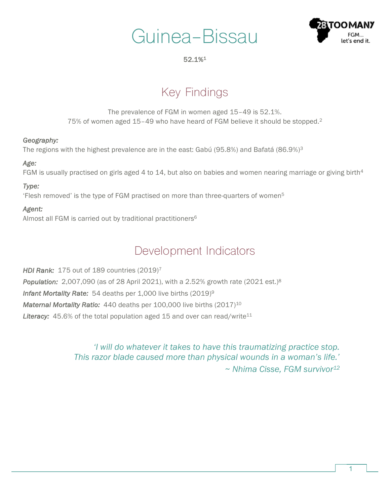



#### 52.1%1

# Key Findings

The prevalence of FGM in women aged 15–49 is 52.1%. 75% of women aged 15–49 who have heard of FGM believe it should be stopped.2

#### *Geography:*

The regions with the highest prevalence are in the east: Gabú (95.8%) and Bafatá (86.9%)3

#### *Age:*

FGM is usually practised on girls aged 4 to 14, but also on babies and women nearing marriage or giving birth<sup>4</sup>

#### *Type:*

'Flesh removed' is the type of FGM practised on more than three-quarters of women5

#### *Agent:*

Almost all FGM is carried out by traditional practitioners6

### Development Indicators

*HDI Rank:* 175 out of 189 countries (2019)7 *Population:* 2,007,090 (as of 28 April 2021), with a 2.52% growth rate (2021 est.)8 *Infant Mortality Rate:* 54 deaths per 1,000 live births (2019)9 *Maternal Mortality Ratio:* 440 deaths per 100,000 live births (2017)<sup>10</sup> Literacy: 45.6% of the total population aged 15 and over can read/write<sup>11</sup>

> *'I will do whatever it takes to have this traumatizing practice stop. This razor blade caused more than physical wounds in a woman's life.' ~ Nhima Cisse, FGM survivor12*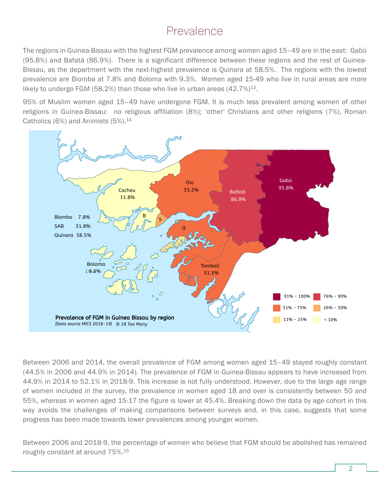### Prevalence

The regions in Guinea-Bissau with the highest FGM prevalence among women aged 15–49 are in the east: Gabú (95.8%) and Bafatá (86.9%). There is a significant difference between these regions and the rest of Guinea-Bissau, as the department with the next-highest prevalence is Quinara at 58.5%. The regions with the lowest prevalence are Biomba at 7.8% and Boloma with 9.3%. Women aged 15-49 who live in rural areas are more likely to undergo FGM (58.2%) than those who live in urban areas  $(42.7\%)^{13}$ .

95% of Muslim women aged 15–49 have undergone FGM. It is much less prevalent among women of other religions in Guinea-Bissau: no religious affiliation (8%); 'other' Christians and other religions (7%), Roman Catholics  $(6%)$  and Animists  $(5%)$ .<sup>14</sup>



Between 2006 and 2014, the overall prevalence of FGM among women aged 15–49 stayed roughly constant (44.5% in 2006 and 44.9% in 2014). The prevalence of FGM in Guinea-Bissau appears to have increased from 44.9% in 2014 to 52.1% in 2018-9. This increase is not fully understood. However, due to the large age range of women included in the survey, the prevalence in women aged 18 and over is consistently between 50 and 55%, whereas in women aged 15-17 the figure is lower at 45.4%. Breaking down the data by age cohort in this way avoids the challenges of making comparisons between surveys and, in this case, suggests that some progress has been made towards lower prevalences among younger women.

Between 2006 and 2018-9, the percentage of women who believe that FGM should be abolished has remained roughly constant at around 75%. 15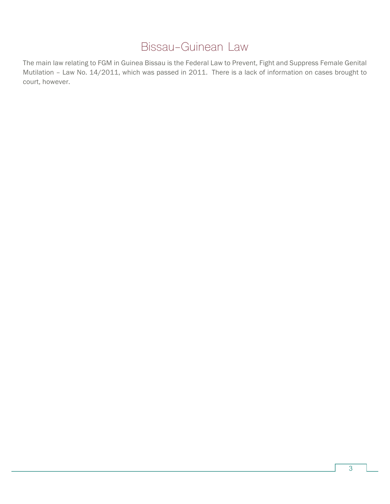## Bissau-Guinean Law

The main law relating to FGM in Guinea Bissau is the Federal Law to Prevent, Fight and Suppress Female Genital Mutilation – Law No. 14/2011, which was passed in 2011. There is a lack of information on cases brought to court, however.